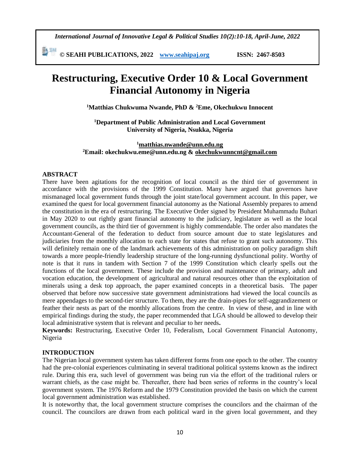*International Journal of Innovative Legal & Political Studies 10(2):10-18, April-June, 2022*

勤細 **© SEAHI PUBLICATIONS, 2022 [www.seahipaj.org](http://www.seahipaj.org/) ISSN: 2467-8503**

# **Restructuring, Executive Order 10 & Local Government Financial Autonomy in Nigeria**

**<sup>1</sup>Matthias Chukwuma Nwande, PhD & <sup>2</sup>Eme, Okechukwu Innocent**

**<sup>1</sup>Department of Public Administration and Local Government University of Nigeria, Nsukka, Nigeria**

**<sup>1</sup>[matthias.nwande@unn.edu.ng](mailto:matthias.nwande@unn.edu.ng) <sup>2</sup>Email: okechukwu.eme@unn.edu.ng & [okechukwunncnt@gmail.com](mailto:okechukwunncnt@gmail.com)**

#### **ABSTRACT**

There have been agitations for the recognition of local council as the third tier of government in accordance with the provisions of the 1999 Constitution. Many have argued that governors have mismanaged local government funds through the joint state/local government account. In this paper, we examined the quest for local government financial autonomy as the National Assembly prepares to amend the constitution in the era of restructuring. The Executive Order signed by President Muhammadu Buhari in May 2020 to out rightly grant financial autonomy to the judiciary, legislature as well as the local government councils, as the third tier of government is highly commendable. The order also mandates the Accountant-General of the federation to deduct from source amount due to state legislatures and judiciaries from the monthly allocation to each state for states that refuse to grant such autonomy. This will definitely remain one of the landmark achievements of this administration on policy paradigm shift towards a more people-friendly leadership structure of the long-running dysfunctional polity. Worthy of note is that it runs in tandem with Section 7 of the 1999 Constitution which clearly spells out the functions of the local government. These include the provision and maintenance of primary, adult and vocation education, the development of agricultural and natural resources other than the exploitation of minerals using a desk top approach, the paper examined concepts in a theoretical basis. The paper observed that before now successive state government administrations had viewed the local councils as mere appendages to the second-tier structure. To them, they are the drain-pipes for self-aggrandizement or feather their nests as part of the monthly allocations from the centre. In view of these, and in line with empirical findings during the study, the paper recommended that LGA should be allowed to develop their local administrative system that is relevant and peculiar to her needs**.**

**Keywords:** Restructuring, Executive Order 10, Federalism, Local Government Financial Autonomy, Nigeria

#### **INTRODUCTION**

The Nigerian local government system has taken different forms from one epoch to the other. The country had the pre-colonial experiences culminating in several traditional political systems known as the indirect rule. During this era, such level of government was being run via the effort of the traditional rulers or warrant chiefs, as the case might be. Thereafter, there had been series of reforms in the country's local government system. The 1976 Reform and the 1979 Constitution provided the basis on which the current local government administration was established.

It is noteworthy that, the local government structure comprises the councilors and the chairman of the council. The councilors are drawn from each political ward in the given local government, and they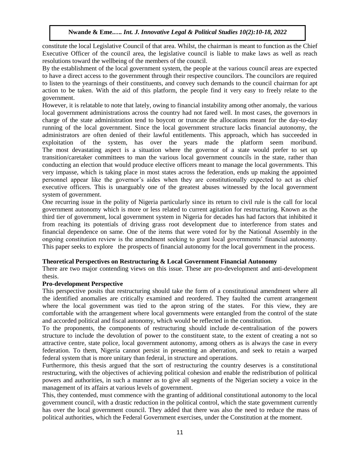constitute the local Legislative Council of that area. Whilst, the chairman is meant to function as the Chief Executive Officer of the council area, the legislative council is liable to make laws as well as reach resolutions toward the wellbeing of the members of the council.

By the establishment of the local government system, the people at the various council areas are expected to have a direct access to the government through their respective councilors. The councilors are required to listen to the yearnings of their constituents, and convey such demands to the council chairman for apt action to be taken. With the aid of this platform, the people find it very easy to freely relate to the government.

However, it is relatable to note that lately, owing to financial instability among other anomaly, the various local government administrations across the country had not fared well. In most cases, the governors in charge of the state administration tend to boycott or truncate the allocations meant for the day-to-day running of the local government. Since the local government structure lacks financial autonomy, the administrators are often denied of their lawful entitlements. This approach, which has succeeded in exploitation of the system, has over the years made the platform seem moribund. The most devastating aspect is a situation where the governor of a state would prefer to set up transition/caretaker committees to man the various local government councils in the state, rather than conducting an election that would produce elective officers meant to manage the local governments. This very impasse, which is taking place in most states across the federation, ends up making the appointed personnel appear like the governor's aides when they are constitutionally expected to act as chief executive officers. This is unarguably one of the greatest abuses witnessed by the local government system of government.

One recurring issue in the polity of Nigeria particularly since its return to civil rule is the call for local government autonomy which is more or less related to current agitation for restructuring. Known as the third tier of government, local government system in Nigeria for decades has had factors that inhibited it from reaching its potentials of driving grass root development due to interference from states and financial dependence on same. One of the items that were voted for by the National Assembly in the ongoing constitution review is the amendment seeking to grant local governments' financial autonomy. This paper seeks to explore the prospects of financial autonomy for the local government in the process.

## **Theoretical Perspectives on Restructuring & Local Government Financial Autonomy**

There are two major contending views on this issue. These are pro-development and anti-development thesis.

## **Pro-development Perspective**

This perspective posits that restructuring should take the form of a constitutional amendment where all the identified anomalies are critically examined and reordered. They faulted the current arrangement where the local government was tied to the apron string of the states. For this view, they are comfortable with the arrangement where local governments were entangled from the control of the state and accorded political and fiscal autonomy, which would be reflected in the constitution.

To the proponents, the components of restructuring should include de-centralisation of the powers structure to include the devolution of power to the constituent state, to the extent of creating a not so attractive centre, state police, local government autonomy, among others as is always the case in every federation. To them, Nigeria cannot persist in presenting an aberration, and seek to retain a warped federal system that is more unitary than federal, in structure and operations.

Furthermore, this thesis argued that the sort of restructuring the country deserves is a constitutional restructuring, with the objectives of achieving political cohesion and enable the redistribution of political powers and authorities, in such a manner as to give all segments of the Nigerian society a voice in the management of its affairs at various levels of government.

This, they contended, must commence with the granting of additional constitutional autonomy to the local government council, with a drastic reduction in the political control, which the state government currently has over the local government council. They added that there was also the need to reduce the mass of political authorities, which the Federal Government exercises, under the Constitution at the moment.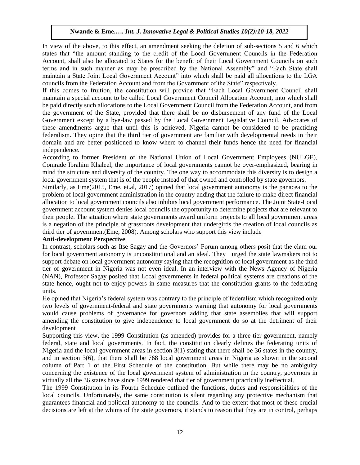In view of the above, to this effect, an amendment seeking the deletion of sub-sections 5 and 6 which states that "the amount standing to the credit of the Local Government Councils in the Federation Account, shall also be allocated to States for the benefit of their Local Government Councils on such terms and in such manner as may be prescribed by the National Assembly" and "Each State shall maintain a State Joint Local Government Account" into which shall be paid all allocations to the LGA councils from the Federation Account and from the Government of the State" respectively.

If this comes to fruition, the constitution will provide that "Each Local Government Council shall maintain a special account to be called Local Government Council Allocation Account, into which shall be paid directly such allocations to the Local Government Council from the Federation Account, and from the government of the State, provided that there shall be no disbursement of any fund of the Local Government except by a bye-law passed by the Local Government Legislative Council. Advocates of these amendments argue that until this is achieved, Nigeria cannot be considered to be practicing federalism. They opine that the third tier of government are familiar with developmental needs in their domain and are better positioned to know where to channel their funds hence the need for financial independence.

According to former President of the National Union of Local Government Employees (NULGE), Comrade Ibrahim Khaleel, the importance of local governments cannot be over-emphasized, bearing in mind the structure and diversity of the country. The one way to accommodate this diversity is to design a local government system that is of the people instead of that owned and controlled by state governors.

Similarly, as Eme(2015, Eme, et.al, 2017) opined that local government autonomy is the panacea to the problem of local government administration in the country adding that the failure to make direct financial allocation to local government councils also inhibits local government performance. The Joint State-Local government account system denies local councils the opportunity to determine projects that are relevant to their people. The situation where state governments award uniform projects to all local government areas is a negation of the principle of grassroots development that undergirds the creation of local councils as third tier of government(Eme, 2008). Among scholars who support this view include

## **Anti-development Perspective**

In contrast, scholars such as Itse Sagay and the Governors' Forum among others posit that the clam our for local government autonomy is unconstitutional and an ideal. They urged the state lawmakers not to support debate on local government autonomy saying that the recognition of local government as the third tier of government in Nigeria was not even ideal. In an interview with the News Agency of Nigeria (NAN), Professor Sagay posited that Local governments in federal political systems are creations of the state hence, ought not to enjoy powers in same measures that the constitution grants to the federating units.

He opined that Nigeria's federal system was contrary to the principle of federalism which recognized only two levels of government-federal and state governments warning that autonomy for local governments would cause problems of governance for governors adding that state assemblies that will support amending the constitution to give independence to local government do so at the detriment of their development

Supporting this view, the 1999 Constitution (as amended) provides for a three-tier government, namely federal, state and local governments. In fact, the constitution clearly defines the federating units of Nigeria and the local government areas in section 3(1) stating that there shall be 36 states in the country, and in section 3(6), that there shall be 768 local government areas in Nigeria as shown in the second column of Part 1 of the First Schedule of the constitution. But while there may be no ambiguity concerning the existence of the local government system of administration in the country, governors in virtually all the 36 states have since 1999 rendered that tier of government practically ineffectual.

The 1999 Constitution in its Fourth Schedule outlined the functions, duties and responsibilities of the local councils. Unfortunately, the same constitution is silent regarding any protective mechanism that guarantees financial and political autonomy to the councils. And to the extent that most of these crucial decisions are left at the whims of the state governors, it stands to reason that they are in control, perhaps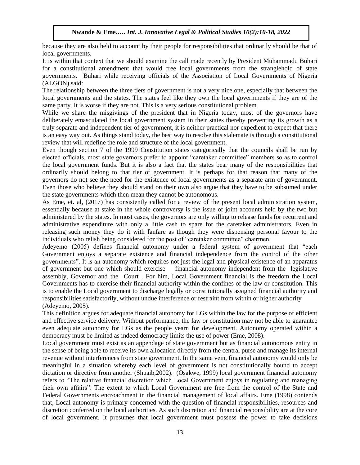because they are also held to account by their people for responsibilities that ordinarily should be that of local governments.

It is within that context that we should examine the call made recently by President Muhammadu Buhari for a constitutional amendment that would free local governments from the stranglehold of state governments. Buhari while receiving officials of the Association of Local Governments of Nigeria (ALGON) said:

The relationship between the three tiers of government is not a very nice one, especially that between the local governments and the states. The states feel like they own the local governments if they are of the same party. It is worse if they are not. This is a very serious constitutional problem.

While we share the misgivings of the president that in Nigeria today, most of the governors have deliberately emasculated the local government system in their states thereby preventing its growth as a truly separate and independent tier of government, it is neither practical nor expedient to expect that there is an easy way out. As things stand today, the best way to resolve this stalemate is through a constitutional review that will redefine the role and structure of the local government.

Even though section 7 of the 1999 Constitution states categorically that the councils shall be run by elected officials, most state governors prefer to appoint "caretaker committee" members so as to control the local government funds. But it is also a fact that the states bear many of the responsibilities that ordinarily should belong to that tier of government. It is perhaps for that reason that many of the governors do not see the need for the existence of local governments as a separate arm of government. Even those who believe they should stand on their own also argue that they have to be subsumed under the state governments which then mean they cannot be autonomous.

As Eme, et. al, (2017) has consistently called for a review of the present local administration system, essentially because at stake in the whole controversy is the issue of joint accounts held by the two but administered by the states. In most cases, the governors are only willing to release funds for recurrent and administrative expenditure with only a little cash to spare for the caretaker administrators. Even in releasing such money they do it with fanfare as though they were dispensing personal favour to the individuals who relish being considered for the post of "caretaker committee" chairmen.

Adeyemo (2005) defines financial autonomy under a federal system of government that "each Government enjoys a separate existence and financial independence from the control of the other governments". It is an autonomy which requires not just the legal and physical existence of an apparatus of government but one which should exercise financial autonomy independent from the legislative assembly, Governor and the Court . For him, Local Government financial is the freedom the Local Governments has to exercise their financial authority within the confines of the law or constitution. This is to enable the Local government to discharge legally or constitutionally assigned financial authority and responsibilities satisfactorily, without undue interference or restraint from within or higher authority (Adeyemo, 2005).

This definition argues for adequate financial autonomy for LGs within the law for the purpose of efficient and effective service delivery. Without performance, the law or constitution may not be able to guarantee even adequate autonomy for LGs as the people yearn for development. Autonomy operated within a democracy must be limited as indeed democracy limits the use of power (Eme, 2008).

Local government must exist as an appendage of state government but as financial autonomous entity in the sense of being able to receive its own allocation directly from the central purse and manage its internal revenue without interferences from state government. In the same vein, financial autonomy would only be meaningful in a situation whereby each level of government is not constitutionally bound to accept dictation or directive from another (Shuaib,2002). (Osakwe, 1999) local government financial autonomy refers to "The relative financial discretion which Local Government enjoys in regulating and managing their own affairs". The extent to which Local Government are free from the control of the State and Federal Governments encroachment in the financial management of local affairs. Eme (1998) contends that, Local autonomy is primary concerned with the question of financial responsibilities, resources and discretion conferred on the local authorities. As such discretion and financial responsibility are at the core of local government. It presumes that local government must possess the power to take decisions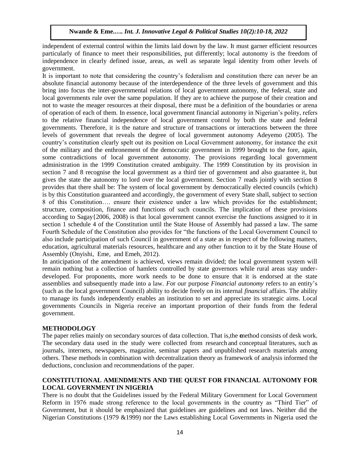independent of external control within the limits laid down by the law. It must garner efficient resources particularly of finance to meet their responsibilities, put differently; local autonomy is the freedom of independence in clearly defined issue, areas, as well as separate legal identity from other levels of government.

It is important to note that considering the country's federalism and constitution there can never be an absolute financial autonomy because of the interdependence of the three levels of government and this bring into focus the inter-governmental relations of local government autonomy, the federal, state and local governments rule over the same population. If they are to achieve the purpose of their creation and not to waste the meager resources at their disposal, there must be a definition of the boundaries or arena of operation of each of them. In essence, local government financial autonomy in Nigerian's polity, refers to the relative financial independence of local government control by both the state and federal governments. Therefore, it is the nature and structure of transactions or interactions between the three levels of government that reveals the degree of local government autonomy Adeyemo (2005). The country's constitution clearly spelt out its position on Local Government autonomy, for instance the exit of the military and the enthronement of the democratic government in 1999 brought to the fore, again, some contradictions of local government autonomy. The provisions regarding local government administration in the 1999 Constitution created ambiguity. The 1999 Constitution by its provision in section 7 and 8 recognise the local government as a third tier of government and also guarantee it, but gives the state the autonomy to lord over the local government. Section 7 reads jointly with section 8 provides that there shall be: The system of local government by democratically elected councils (which) is by this Constitution guaranteed and accordingly, the government of every State shall, subject to section 8 of this Constitution…. ensure their existence under a law which provides for the establishment; structure, composition, finance and functions of such councils. The implication of these provisions according to Sagay{2006, 2008) is that local government cannot exercise the functions assigned to it in section 1 schedule 4 of the Constitution until the State House of Assembly had passed a law. The same Fourth Schedule of the Constitution also provides for "the functions of the Local Government Council to also include participation of such Council in government of a state as in respect of the following matters, education, agricultural materials resources, healthcare and any other function to it by the State House of Assembly (Onyishi, Eme, and Emeh, 2012).

In anticipation of the amendment is achieved, views remain divided; the local government system will remain nothing but a collection of hamlets controlled by state governors while rural areas stay underdeveloped. For proponents, more work needs to be done to ensure that it is endorsed at the state assemblies and subsequently made into a law. *Fo*r *ou*r purpose *Financial autonomy* refers to an entity's (such as the local government Council) ability to decide freely on its internal *financial* affairs. The ability to manage its funds independently enables an institution to set and appreciate its strategic aims. Local governments Councils in Nigeria receive an important proportion of their funds from the federal government.

## **METHODOLOGY**

The paper relies mainly on secondary sources of data collection. That is, the method consists of desk work. The secondary data used in the study were collected from research and conceptual literatures, such as journals, internets, newspapers, magazine, seminar papers and unpublished research materials among others. These methods in combination with decentralization theory as framework of analysis informed the deductions, conclusion and recommendations of the paper.

# **CONSTITUTIONAL AMENDMENTS AND THE QUEST FOR FINANCIAL AUTONOMY FOR LOCAL GOVERNMENT IN NIGERIA**

There is no doubt that the Guidelines issued by the Federal Military Government for Local Government Reform in 1976 made strong reference to the local governments in the country as "Third Tier" of Government, but it should be emphasized that guidelines are guidelines and not laws. Neither did the Nigerian Constitutions (1979 &1999) nor the Laws establishing Local Governments in Nigeria used the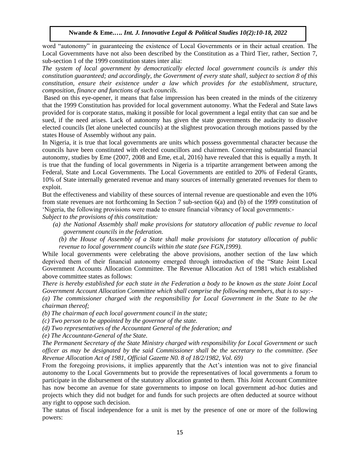word "autonomy" in guaranteeing the existence of Local Governments or in their actual creation. The Local Governments have not also been described by the Constitution as a Third Tier, rather, Section 7, sub-section 1 of the 1999 constitution states inter alia:

*The system of local government by democratically elected local government councils is under this constitution guaranteed; and accordingly, the Government of every state shall, subject to section 8 of this constitution, ensure their existence under a law which provides for the establishment, structure, composition, finance and functions of such councils.* 

Based on this eye-opener, it means that false impression has been created in the minds of the citizenry that the 1999 Constitution has provided for local government autonomy. What the Federal and State laws provided for is corporate status, making it possible for local government a legal entity that can sue and be sued, if the need arises. Lack of autonomy has given the state governments the audacity to dissolve elected councils (let alone unelected councils) at the slightest provocation through motions passed by the states House of Assembly without any pain.

In Nigeria, it is true that local governments are units which possess governmental character because the councils have been constituted with elected councillors and chairmen. Concerning substantial financial autonomy, studies by Eme (2007, 2008 and Eme, et.al, 2016) have revealed that this is equally a myth. It is true that the funding of local governments in Nigeria is a tripartite arrangement between among the Federal, State and Local Governments. The Local Governments are entitled to 20% of Federal Grants, 10% of State internally generated revenue and many sources of internally generated revenues for them to exploit.

But the effectiveness and viability of these sources of internal revenue are questionable and even the 10% from state revenues are not forthcoming In Section 7 sub-section 6(a) and (b) of the 1999 constitution of 'Nigeria, the following provisions were made to ensure financial vibrancy of local governments:-

*Subject to the provisions of this constitution:* 

*(a) the National Assembly shall make provisions for statutory allocation of public revenue to local government councils in the federation.* 

*(b) the House of Assembly of a State shall make provisions for statutory allocation of public revenue to local government councils within the state (see FGN,1999).*

While local governments were celebrating the above provisions, another section of the law which deprived them of their financial autonomy emerged through introduction of the "State Joint Local Government Accounts Allocation Committee. The Revenue Allocation Act of 1981 which established above committee states as follows:

*There is hereby established for each state in the Federation a body to be known as the state Joint Local Government Account Allocation Committee which shall comprise the following members, that is to say:-*

*(a) The commissioner charged with the responsibility for Local Government in the State to be the chairman thereof;* 

*(b) The chairman of each local government council in the state;* 

*(c) Two person to be appointed by the governor of the state.* 

*(d) Two representatives of the Accountant General of the federation; and* 

*(e) The Accountant-General of the State.* 

*The Permanent Secretary of the State Ministry charged with responsibility for Local Government or such officer as may be designated by the said Commissioner shall be the secretary to the committee. (See Revenue Allocation Act of 1981, Official Gazette N0. 8 of 18/2/1982, Vol. 69)* 

From the foregoing provisions, it implies apparently that the Act's intention was not to give financial autonomy to the Local Governments but to provide the representatives of local governments a forum to participate in the disbursement of the statutory allocation granted to them. This Joint Account Committee has now become an avenue for state governments to impose on local government ad-hoc duties and projects which they did not budget for and funds for such projects are often deducted at source without any right to oppose such decision.

The status of fiscal independence for a unit is met by the presence of one or more of the following powers: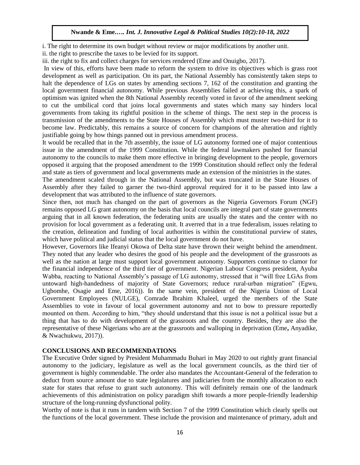i. The right to determine its own budget without review or major modifications by another unit.

ii. the right to prescribe the taxes to be levied for its support.

iii. the right to fix and collect charges for services rendered (Eme and Onuigbo, 2017).

In view of this, efforts have been made to reform the system to drive its objectives which is grass root development as well as participation. On its part, the National Assembly has consistently taken steps to halt the dependence of LGs on states by amending sections 7, 162 of the constitution and granting the local government financial autonomy. While previous Assemblies failed at achieving this, a spark of optimism was ignited when the 8th National Assembly recently voted in favor of the amendment seeking to cut the umbilical cord that joins local governments and states which many say hinders local governments from taking its rightful position in the scheme of things. The next step in the process is transmission of the amendments to the State Houses of Assembly which must muster two-third for it to become law. Predictably, this remains a source of concern for champions of the alteration and rightly justifiable going by how things panned out in previous amendment process.

It would be recalled that in the 7th assembly, the issue of LG autonomy formed one of major contentious issue in the amendment of the 1999 Constitution. While the federal lawmakers pushed for financial autonomy to the councils to make them more effective in bringing development to the people, governors opposed it arguing that the proposed amendment to the 1999 Constitution should reflect only the federal and state as tiers of government and local governments made an extension of the ministries in the states.

The amendment scaled through in the National Assembly, but was truncated in the State Houses of Assembly after they failed to garner the two-third approval required for it to be passed into law a development that was attributed to the influence of state governors.

Since then, not much has changed on the part of governors as the Nigeria Governors Forum (NGF) remains opposed LG grant autonomy on the basis that local councils are integral part of state governments arguing that in all known federation, the federating units are usually the states and the center with no provision for local government as a federating unit. It averred that in a true federalism, issues relating to the creation, delineation and funding of local authorities is within the constitutional purview of states, which have political and judicial status that the local government do not have.

However, Governors like Ifeanyi Okowa of Delta state have thrown their weight behind the amendment. They noted that any leader who desires the good of his people and the development of the grassroots as well as the nation at large must support local government autonomy. Supporters continue to clamor for the financial independence of the third tier of government. Nigerian Labour Congress president, Ayuba Wabba, reacting to National Assembly's passage of LG autonomy, stressed that it "will free LGAs from untoward high-handedness of majority of State Governors; reduce rural-urban migration" (Egwu, Ugbomhe, Osagie and Eme, 2016)). In the same vein, president of the Nigeria Union of Local Government Employees (NULGE), Comrade Ibrahim Khaleel, urged the members of the State Assemblies to vote in favour of local government autonomy and not to bow to pressure reportedly mounted on them. According to him, "they should understand that this issue is not a political issue but a thing that has to do with development of the grassroots and the country. Besides, they are also the representative of these Nigerians who are at the grassroots and walloping in deprivation (Eme**,** Anyadike, & Nwachukwu, 2017)).

## **CONCLUSIONS AND RECOMMENDATIONS**

The Executive Order signed by President Muhammadu Buhari in May 2020 to out rightly grant financial autonomy to the judiciary, legislature as well as the local government councils, as the third tier of government is highly commendable. The order also mandates the Accountant-General of the federation to deduct from source amount due to state legislatures and judiciaries from the monthly allocation to each state for states that refuse to grant such autonomy. This will definitely remain one of the landmark achievements of this administration on policy paradigm shift towards a more people-friendly leadership structure of the long-running dysfunctional polity.

Worthy of note is that it runs in tandem with Section 7 of the 1999 Constitution which clearly spells out the functions of the local government. These include the provision and maintenance of primary, adult and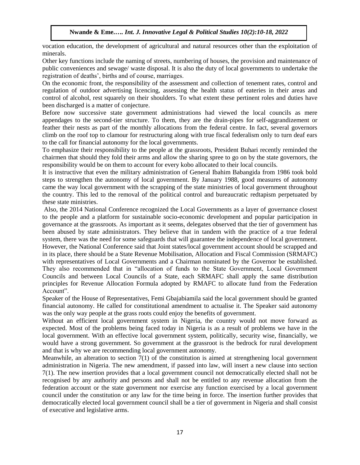vocation education, the development of agricultural and natural resources other than the exploitation of minerals.

Other key functions include the naming of streets, numbering of houses, the provision and maintenance of public conveniences and sewage/ waste disposal. It is also the duty of local governments to undertake the registration of deaths', births and of course, marriages.

On the economic front, the responsibility of the assessment and collection of tenement rates, control and regulation of outdoor advertising licencing, assessing the health status of eateries in their areas and control of alcohol, rest squarely on their shoulders. To what extent these pertinent roles and duties have been discharged is a matter of conjecture.

Before now successive state government administrations had viewed the local councils as mere appendages to the second-tier structure. To them, they are the drain-pipes for self-aggrandizement or feather their nests as part of the monthly allocations from the federal centre. In fact, several governors climb on the roof top to clamour for restructuring along with true fiscal federalism only to turn deaf ears to the call for financial autonomy for the local governments.

To emphasize their responsibility to the people at the grassroots, President Buhari recently reminded the chairmen that should they fold their arms and allow the sharing spree to go on by the state governors, the responsibility would be on them to account for every kobo allocated to their local councils.

It is instructive that even the military administration of General Ibahim Babangida from 1986 took bold steps to strengthen the autonomy of local government. By January 1988, good measures of autonomy came the way local government with the scrapping of the state ministries of local government throughout the country. This led to the removal of the political control and bureaucratic redtapism perpetuated by these state ministries.

Also, the 2014 National Conference recognized the Local Governments as a layer of governance closest to the people and a platform for sustainable socio-economic development and popular participation in governance at the grassroots. As important as it seems, delegates observed that the tier of government has been abused by state administrators. They believe that in tandem with the practice of a true federal system, there was the need for some safeguards that will guarantee the independence of local government. However, the National Conference said that Joint states/local government account should be scrapped and in its place, there should be a State Revenue Mobilisation, Allocation and Fiscal Commission (SRMAFC) with representatives of Local Governments and a Chairman nominated by the Governor be established. They also recommended that in "allocation of funds to the State Government, Local Government Councils and between Local Councils of a State, each SRMAFC shall apply the same distribution principles for Revenue Allocation Formula adopted by RMAFC to allocate fund from the Federation Account".

Speaker of the House of Representatives, Femi Gbajabiamila said the local government should be granted financial autonomy. He called for constitutional amendment to actualise it. The Speaker said autonomy was the only way people at the grass roots could enjoy the benefits of government.

Without an efficient local government system in Nigeria, the country would not move forward as expected. Most of the problems being faced today in Nigeria is as a result of problems we have in the local government. With an effective local government system, politically, security wise, financially, we would have a strong government. So government at the grassroot is the bedrock for rural development and that is why we are recommending local government autonomy.

Meanwhile, an alteration to section  $7(1)$  of the constitution is aimed at strengthening local government administration in Nigeria. The new amendment, if passed into law, will insert a new clause into section 7(1). The new insertion provides that a local government council not democratically elected shall not be recognised by any authority and persons and shall not be entitled to any revenue allocation from the federation account or the state government nor exercise any function exercised by a local government council under the constitution or any law for the time being in force. The insertion further provides that democratically elected local government council shall be a tier of government in Nigeria and shall consist of executive and legislative arms.